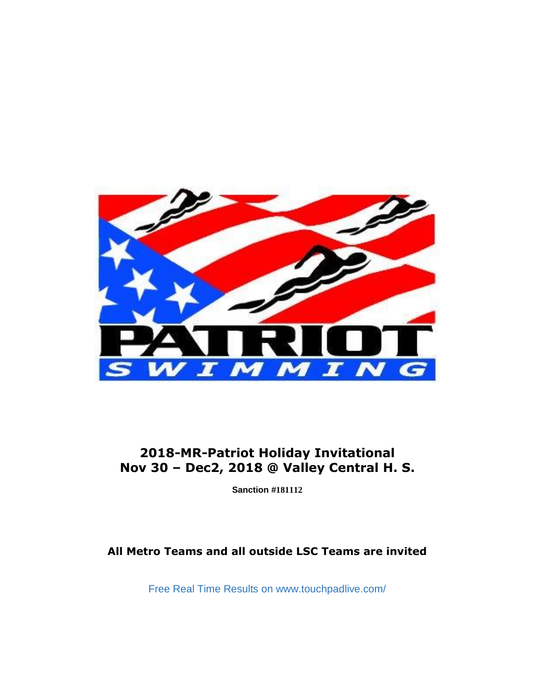

## **2018-MR-Patriot Holiday Invitational Nov 30 – Dec2, 2018 @ Valley Central H. S.**

**Sanction #181112**

## **All Metro Teams and all outside LSC Teams are invited**

Free Real Time Results on www.touchpadlive.com/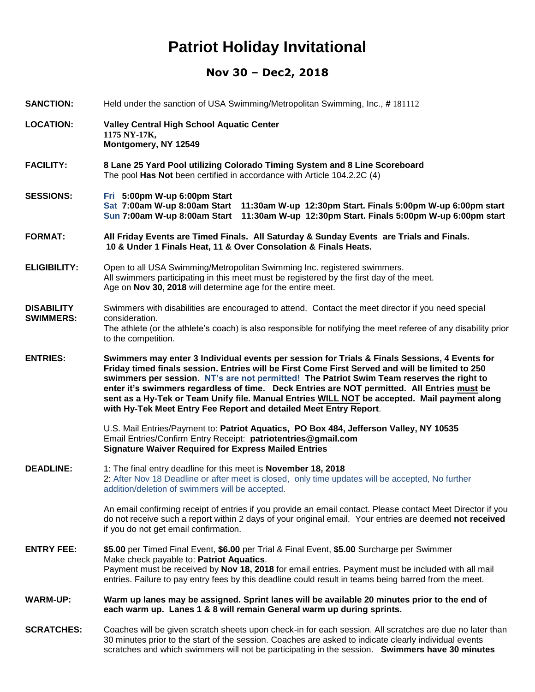## **Nov 30 – Dec2, 2018**

| <b>SANCTION:</b>                      | Held under the sanction of USA Swimming/Metropolitan Swimming, Inc., #181112                                                                                                                                                                                                                                                                                                                                                                                                                                                                                      |  |  |
|---------------------------------------|-------------------------------------------------------------------------------------------------------------------------------------------------------------------------------------------------------------------------------------------------------------------------------------------------------------------------------------------------------------------------------------------------------------------------------------------------------------------------------------------------------------------------------------------------------------------|--|--|
| <b>LOCATION:</b>                      | <b>Valley Central High School Aquatic Center</b><br>1175 NY-17K,<br>Montgomery, NY 12549                                                                                                                                                                                                                                                                                                                                                                                                                                                                          |  |  |
| <b>FACILITY:</b>                      | 8 Lane 25 Yard Pool utilizing Colorado Timing System and 8 Line Scoreboard<br>The pool Has Not been certified in accordance with Article 104.2.2C (4)                                                                                                                                                                                                                                                                                                                                                                                                             |  |  |
| <b>SESSIONS:</b>                      | Fri 5:00pm W-up 6:00pm Start<br>Sat 7:00am W-up 8:00am Start<br>11:30am W-up 12:30pm Start. Finals 5:00pm W-up 6:00pm start<br>Sun 7:00am W-up 8:00am Start<br>11:30am W-up 12:30pm Start. Finals 5:00pm W-up 6:00pm start                                                                                                                                                                                                                                                                                                                                        |  |  |
| <b>FORMAT:</b>                        | All Friday Events are Timed Finals. All Saturday & Sunday Events are Trials and Finals.<br>10 & Under 1 Finals Heat, 11 & Over Consolation & Finals Heats.                                                                                                                                                                                                                                                                                                                                                                                                        |  |  |
| <b>ELIGIBILITY:</b>                   | Open to all USA Swimming/Metropolitan Swimming Inc. registered swimmers.<br>All swimmers participating in this meet must be registered by the first day of the meet.<br>Age on Nov 30, 2018 will determine age for the entire meet.                                                                                                                                                                                                                                                                                                                               |  |  |
| <b>DISABILITY</b><br><b>SWIMMERS:</b> | Swimmers with disabilities are encouraged to attend. Contact the meet director if you need special<br>consideration.<br>The athlete (or the athlete's coach) is also responsible for notifying the meet referee of any disability prior<br>to the competition.                                                                                                                                                                                                                                                                                                    |  |  |
| <b>ENTRIES:</b>                       | Swimmers may enter 3 Individual events per session for Trials & Finals Sessions, 4 Events for<br>Friday timed finals session. Entries will be First Come First Served and will be limited to 250<br>swimmers per session. NT's are not permitted! The Patriot Swim Team reserves the right to<br>enter it's swimmers regardless of time. Deck Entries are NOT permitted. All Entries must be<br>sent as a Hy-Tek or Team Unify file. Manual Entries WILL NOT be accepted. Mail payment along<br>with Hy-Tek Meet Entry Fee Report and detailed Meet Entry Report. |  |  |
|                                       | U.S. Mail Entries/Payment to: Patriot Aquatics, PO Box 484, Jefferson Valley, NY 10535<br>Email Entries/Confirm Entry Receipt: patriotentries@gmail.com<br><b>Signature Waiver Required for Express Mailed Entries</b>                                                                                                                                                                                                                                                                                                                                            |  |  |
| <b>DEADLINE:</b>                      | 1: The final entry deadline for this meet is November 18, 2018<br>2: After Nov 18 Deadline or after meet is closed, only time updates will be accepted, No further<br>addition/deletion of swimmers will be accepted.                                                                                                                                                                                                                                                                                                                                             |  |  |
|                                       | An email confirming receipt of entries if you provide an email contact. Please contact Meet Director if you<br>do not receive such a report within 2 days of your original email. Your entries are deemed not received<br>if you do not get email confirmation.                                                                                                                                                                                                                                                                                                   |  |  |
| <b>ENTRY FEE:</b>                     | \$5.00 per Timed Final Event, \$6.00 per Trial & Final Event, \$5.00 Surcharge per Swimmer<br>Make check payable to: Patriot Aquatics.<br>Payment must be received by Nov 18, 2018 for email entries. Payment must be included with all mail<br>entries. Failure to pay entry fees by this deadline could result in teams being barred from the meet.                                                                                                                                                                                                             |  |  |
| <b>WARM-UP:</b>                       | Warm up lanes may be assigned. Sprint lanes will be available 20 minutes prior to the end of<br>each warm up. Lanes 1 & 8 will remain General warm up during sprints.                                                                                                                                                                                                                                                                                                                                                                                             |  |  |
| <b>SCRATCHES:</b>                     | Coaches will be given scratch sheets upon check-in for each session. All scratches are due no later than<br>30 minutes prior to the start of the session. Coaches are asked to indicate clearly individual events<br>scratches and which swimmers will not be participating in the session. Swimmers have 30 minutes                                                                                                                                                                                                                                              |  |  |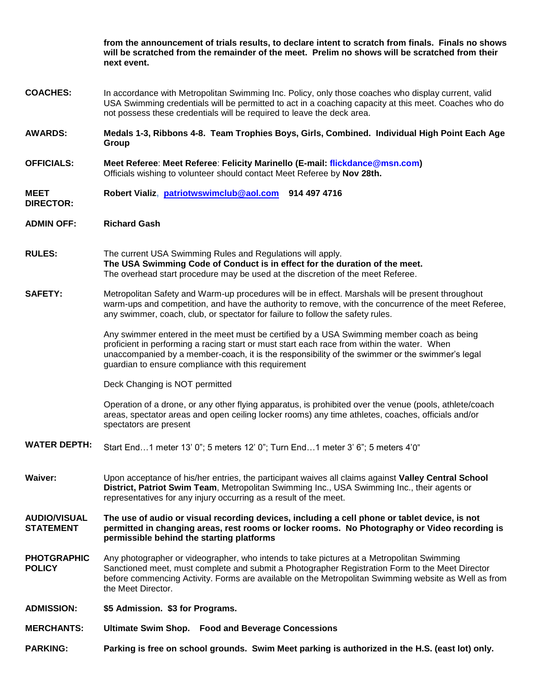|                                         | from the announcement of trials results, to declare intent to scratch from finals. Finals no shows<br>will be scratched from the remainder of the meet. Prelim no shows will be scratched from their<br>next event.                                                                                                                                |  |  |
|-----------------------------------------|----------------------------------------------------------------------------------------------------------------------------------------------------------------------------------------------------------------------------------------------------------------------------------------------------------------------------------------------------|--|--|
| <b>COACHES:</b>                         | In accordance with Metropolitan Swimming Inc. Policy, only those coaches who display current, valid<br>USA Swimming credentials will be permitted to act in a coaching capacity at this meet. Coaches who do<br>not possess these credentials will be required to leave the deck area.                                                             |  |  |
| <b>AWARDS:</b>                          | Medals 1-3, Ribbons 4-8. Team Trophies Boys, Girls, Combined. Individual High Point Each Age<br>Group                                                                                                                                                                                                                                              |  |  |
| <b>OFFICIALS:</b>                       | Meet Referee: Meet Referee: Felicity Marinello (E-mail: flickdance@msn.com)<br>Officials wishing to volunteer should contact Meet Referee by Nov 28th.                                                                                                                                                                                             |  |  |
| <b>MEET</b><br><b>DIRECTOR:</b>         | Robert Vializ, patriotwswimclub@aol.com 914 497 4716                                                                                                                                                                                                                                                                                               |  |  |
| <b>ADMIN OFF:</b>                       | <b>Richard Gash</b>                                                                                                                                                                                                                                                                                                                                |  |  |
| <b>RULES:</b>                           | The current USA Swimming Rules and Regulations will apply.<br>The USA Swimming Code of Conduct is in effect for the duration of the meet.<br>The overhead start procedure may be used at the discretion of the meet Referee.                                                                                                                       |  |  |
| <b>SAFETY:</b>                          | Metropolitan Safety and Warm-up procedures will be in effect. Marshals will be present throughout<br>warm-ups and competition, and have the authority to remove, with the concurrence of the meet Referee,<br>any swimmer, coach, club, or spectator for failure to follow the safety rules.                                                       |  |  |
|                                         | Any swimmer entered in the meet must be certified by a USA Swimming member coach as being<br>proficient in performing a racing start or must start each race from within the water. When<br>unaccompanied by a member-coach, it is the responsibility of the swimmer or the swimmer's legal<br>guardian to ensure compliance with this requirement |  |  |
|                                         | Deck Changing is NOT permitted                                                                                                                                                                                                                                                                                                                     |  |  |
|                                         | Operation of a drone, or any other flying apparatus, is prohibited over the venue (pools, athlete/coach<br>areas, spectator areas and open ceiling locker rooms) any time athletes, coaches, officials and/or<br>spectators are present                                                                                                            |  |  |
| <b>WATER DEPTH:</b>                     | Start End1 meter 13' 0"; 5 meters 12' 0"; Turn End1 meter 3' 6"; 5 meters 4'0"                                                                                                                                                                                                                                                                     |  |  |
| <b>Waiver:</b>                          | Upon acceptance of his/her entries, the participant waives all claims against Valley Central School<br>District, Patriot Swim Team, Metropolitan Swimming Inc., USA Swimming Inc., their agents or<br>representatives for any injury occurring as a result of the meet.                                                                            |  |  |
| <b>AUDIO/VISUAL</b><br><b>STATEMENT</b> | The use of audio or visual recording devices, including a cell phone or tablet device, is not<br>permitted in changing areas, rest rooms or locker rooms. No Photography or Video recording is<br>permissible behind the starting platforms                                                                                                        |  |  |
| <b>PHOTGRAPHIC</b><br><b>POLICY</b>     | Any photographer or videographer, who intends to take pictures at a Metropolitan Swimming<br>Sanctioned meet, must complete and submit a Photographer Registration Form to the Meet Director<br>before commencing Activity. Forms are available on the Metropolitan Swimming website as Well as from<br>the Meet Director.                         |  |  |
| <b>ADMISSION:</b>                       | \$5 Admission. \$3 for Programs.                                                                                                                                                                                                                                                                                                                   |  |  |
| <b>MERCHANTS:</b>                       | Ultimate Swim Shop. Food and Beverage Concessions                                                                                                                                                                                                                                                                                                  |  |  |
| <b>PARKING:</b>                         | Parking is free on school grounds. Swim Meet parking is authorized in the H.S. (east lot) only.                                                                                                                                                                                                                                                    |  |  |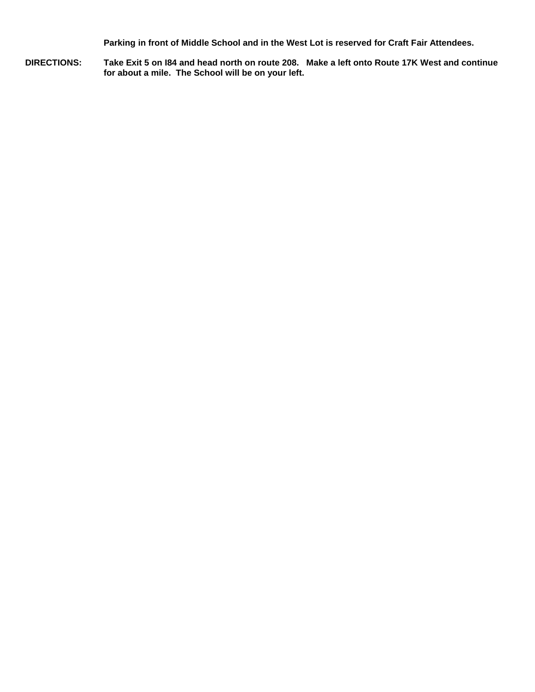**Parking in front of Middle School and in the West Lot is reserved for Craft Fair Attendees.**

**DIRECTIONS: Take Exit 5 on I84 and head north on route 208. Make a left onto Route 17K West and continue for about a mile. The School will be on your left.**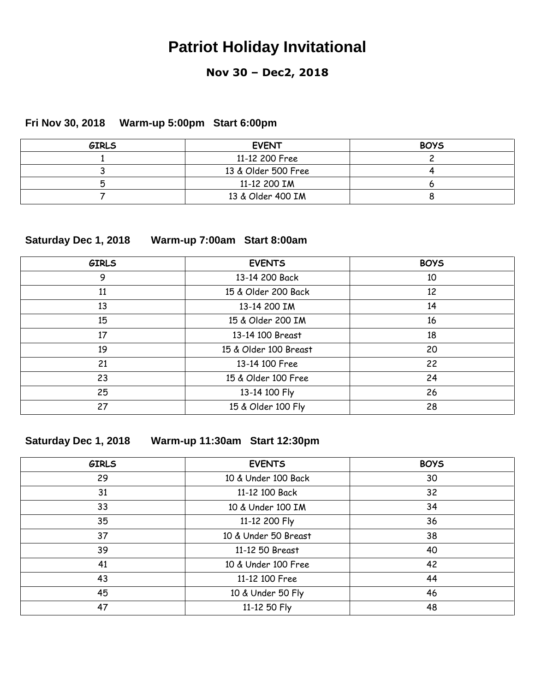### **Nov 30 – Dec2, 2018**

### **Fri Nov 30, 2018 Warm-up 5:00pm Start 6:00pm**

| <b>GIRLS</b> | <b>EVENT</b>        | <b>BOYS</b> |
|--------------|---------------------|-------------|
|              | 11-12 200 Free      |             |
|              | 13 & Older 500 Free |             |
|              | 11-12 200 IM        |             |
|              | 13 & Older 400 IM   |             |

### **Saturday Dec 1, 2018 Warm-up 7:00am Start 8:00am**

| <b>GIRLS</b> | <b>EVENTS</b>         | <b>BOYS</b> |
|--------------|-----------------------|-------------|
| 9            | 13-14 200 Back        | 10          |
| 11           | 15 & Older 200 Back   | 12          |
| 13           | 13-14 200 IM          | 14          |
| 15           | 15 & Older 200 IM     | 16          |
| 17           | 13-14 100 Breast      | 18          |
| 19           | 15 & Older 100 Breast | 20          |
| 21           | 13-14 100 Free        | 22          |
| 23           | 15 & Older 100 Free   | 24          |
| 25           | 13-14 100 Fly         | 26          |
| 27           | 15 & Older 100 Fly    | 28          |

### **Saturday Dec 1, 2018 Warm-up 11:30am Start 12:30pm**

| <b>GIRLS</b> | <b>EVENTS</b>        | <b>BOYS</b> |
|--------------|----------------------|-------------|
| 29           | 10 & Under 100 Back  | 30          |
| 31           | 11-12 100 Back       | 32          |
| 33           | 10 & Under 100 IM    | 34          |
| 35           | 11-12 200 Fly        | 36          |
| 37           | 10 & Under 50 Breast | 38          |
| 39           | 11-12 50 Breast      | 40          |
| 41           | 10 & Under 100 Free  | 42          |
| 43           | 11-12 100 Free       | 44          |
| 45           | 10 & Under 50 Fly    | 46          |
| 47           | 11-12 50 Fly         | 48          |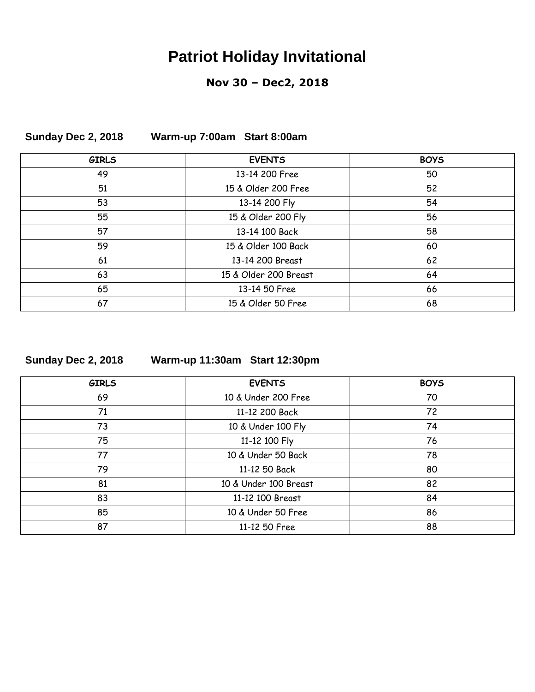### **Nov 30 – Dec2, 2018**

| <b>GIRLS</b> | <b>EVENTS</b>         | <b>BOYS</b> |
|--------------|-----------------------|-------------|
| 49           | 13-14 200 Free        | 50          |
| 51           | 15 & Older 200 Free   | 52          |
| 53           | 13-14 200 Fly         | 54          |
| 55           | 15 & Older 200 Fly    | 56          |
| 57           | 13-14 100 Back        | 58          |
| 59           | 15 & Older 100 Back   | 60          |
| 61           | 13-14 200 Breast      | 62          |
| 63           | 15 & Older 200 Breast | 64          |
| 65           | 13-14 50 Free         | 66          |
| 67           | 15 & Older 50 Free    | 68          |

### **Sunday Dec 2, 2018 Warm-up 7:00am Start 8:00am**

| Sunday Dec 2, 2018 |  |
|--------------------|--|
|--------------------|--|

**Sunday Dec 2, 2018 Warm-up 11:30am Start 12:30pm**

| <b>GIRLS</b> | <b>EVENTS</b>         | <b>BOYS</b> |
|--------------|-----------------------|-------------|
| 69           | 10 & Under 200 Free   | 70          |
| 71           | 11-12 200 Back        | 72          |
| 73           | 10 & Under 100 Fly    | 74          |
| 75           | 11-12 100 Fly         | 76          |
| 77           | 10 & Under 50 Back    | 78          |
| 79           | 11-12 50 Back         | 80          |
| 81           | 10 & Under 100 Breast | 82          |
| 83           | 11-12 100 Breast      | 84          |
| 85           | 10 & Under 50 Free    | 86          |
| 87           | 11-12 50 Free         | 88          |